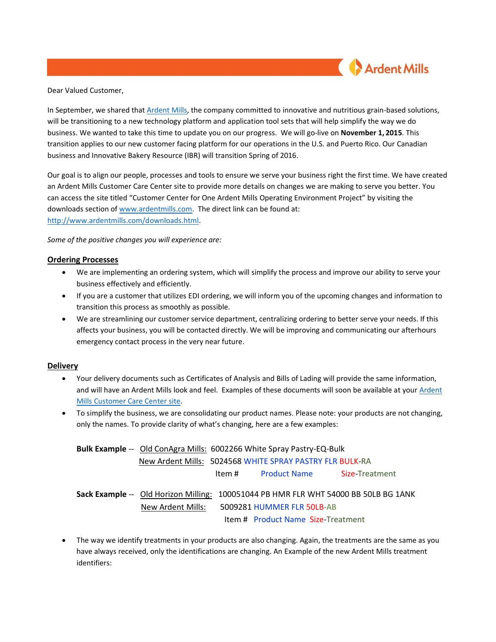

Dear Valued Customer,

In September, we shared tha[t Ardent Mills,](http://www.ardentmills.com/) the company committed to innovative and nutritious grain-based solutions, will be transitioning to a new technology platform and application tool sets that will help simplify the way we do business. We wanted to take this time to update you on our progress. We will go-live on **November 1, 2015**. This transition applies to our new customer facing platform for our operations in the U.S. and Puerto Rico. Our Canadian business and Innovative Bakery Resource (IBR) will transition Spring of 2016.

Our goal is to align our people, processes and tools to ensure we serve your business right the first time. We have created an Ardent Mills Customer Care Center site to provide more details on changes we are making to serve you better. You can access the site titled "Customer Center for One Ardent Mills Operating Environment Project" by visiting the downloads section o[f www.ardentmills.com.](http://www.ardentmills.com/) The direct link can be found at: [http://www.ardentmills.com/downloads.html.](http://www.ardentmills.com/downloads.html)

*Some of the positive changes you will experience are:*

## **Ordering Processes**

- We are implementing an ordering system, which will simplify the process and improve our ability to serve your business effectively and efficiently.
- If you are a customer that utilizes EDI ordering, we will inform you of the upcoming changes and information to transition this process as smoothly as possible.
- We are streamlining our customer service department, centralizing ordering to better serve your needs. If this affects your business, you will be contacted directly. We will be improving and communicating our afterhours emergency contact process in the very near future.

## **Delivery**

- Your delivery documents such as Certificates of Analysis and Bills of Lading will provide the same information, and will have an Ardent Mills look and feel. Examples of these documents will soon be available at your [Ardent](http://www.ardentmills.com/downloads.html) [Mills Customer Care Center site.](http://www.ardentmills.com/downloads.html)
- To simplify the business, we are consolidating our product names. Please note: your products are not changing, only the names. To provide clarity of what's changing, here are a few examples:

| <b>Bulk Example</b> -- Old ConAgra Mills: 6002266 White Spray Pastry-EQ-Bulk |                            |                                           |                                                                                     |  |  |
|------------------------------------------------------------------------------|----------------------------|-------------------------------------------|-------------------------------------------------------------------------------------|--|--|
| New Ardent Mills: 5024568 WHITE SPRAY PASTRY FLR BULK-RA                     |                            |                                           |                                                                                     |  |  |
|                                                                              | ltem #                     | <b>Product Name</b>                       | <b>Size-Treatment</b>                                                               |  |  |
|                                                                              |                            |                                           | Sack Example -- Old Horizon Milling: 100051044 PB HMR FLR WHT 54000 BB 50LB BG 1ANK |  |  |
| New Ardent Mills:                                                            | 5009281 HUMMER FLR 50LB-AB |                                           |                                                                                     |  |  |
|                                                                              |                            | <b>Item # Product Name Size-Treatment</b> |                                                                                     |  |  |

• The way we identify treatments in your products are also changing. Again, the treatments are the same as you have always received, only the identifications are changing. An Example of the new Ardent Mills treatment identifiers: